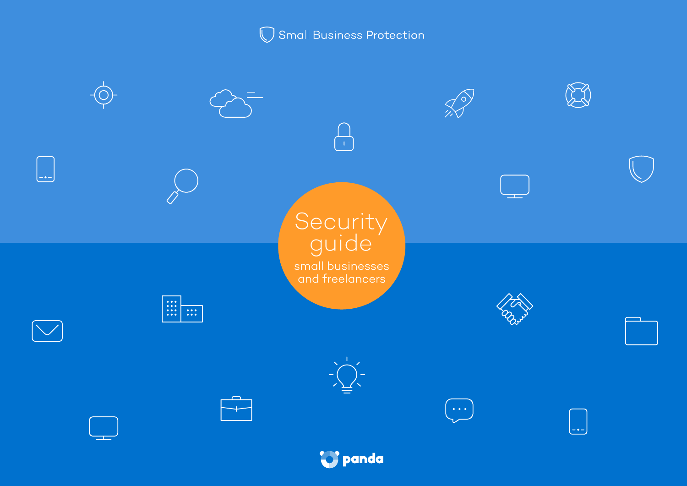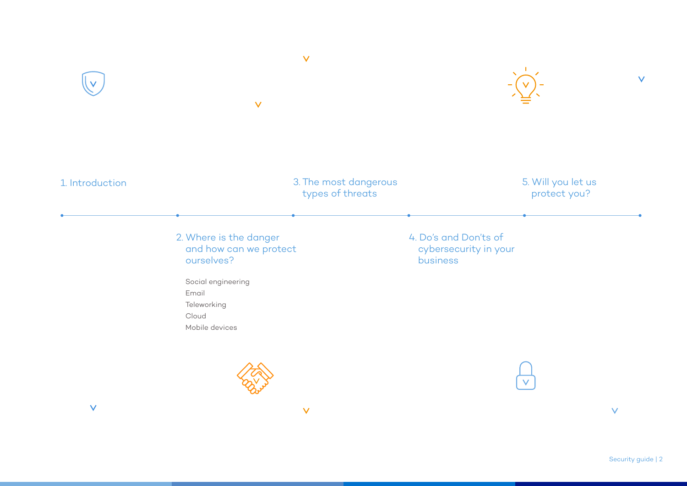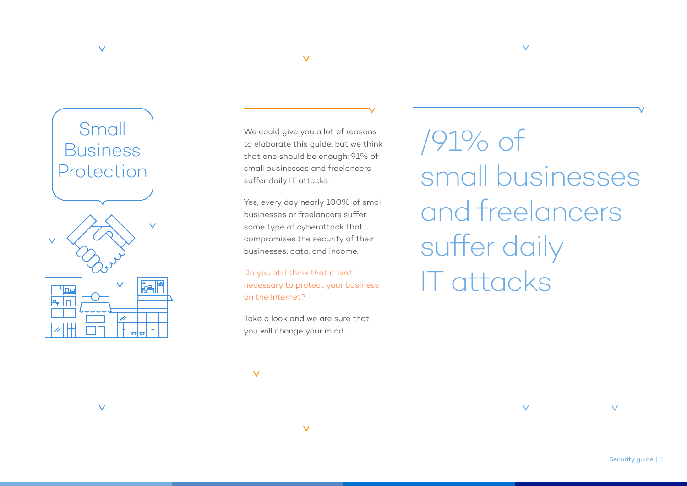

 $\vee$ 

We could give you a lot of reasons to elaborate this guide, but we think that one should be enough: 91% of small businesses and freelancers suffer daily IT attacks.

 $\vee$ 

Yes, every day nearly 100% of small businesses or freelancers suffer some type of cyberattack that compromises the security of their businesses, data, and income.

Do you still think that it isn't necessary to protect your business on the Internet?

Take a look and we are sure that you will change your mind…

 $\vee$ 

 $\overline{\vee}$ 

/91% of small businesses and freelancers suffer daily IT attacks

 $\vee$ 

 $\vee$ 

 $\vee$ 

 $\vee$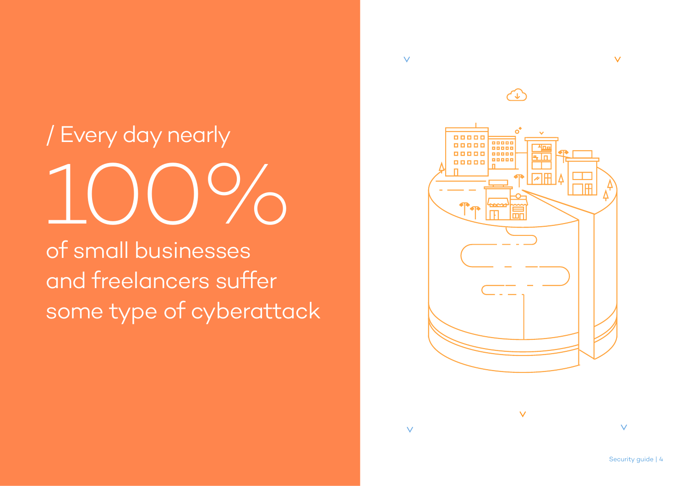# / Every day nearly 100%

of small businesses and freelancers suffer some type of cyberattack

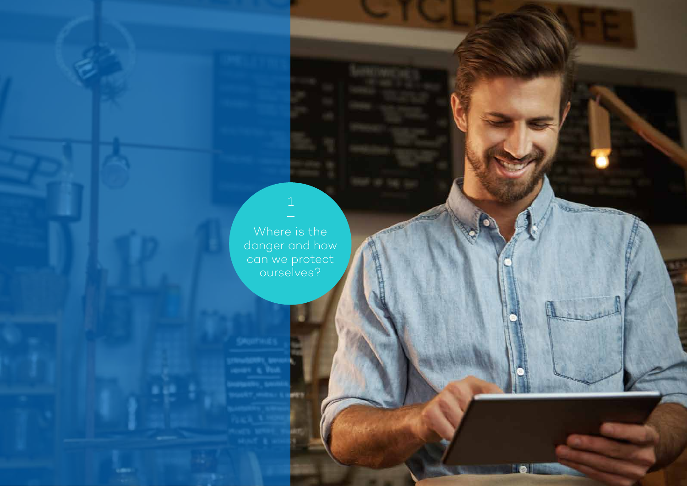Where is the danger and how can we protect ourselves?

**Concession** 

<u>rail</u>

ME'S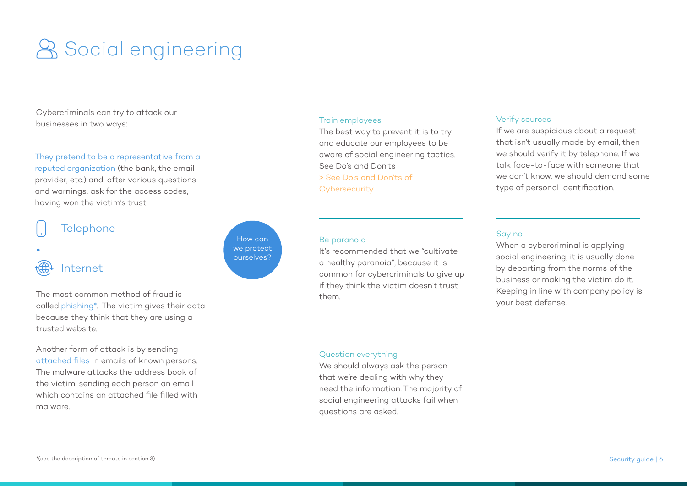# **& Social engineering**

Cybercriminals can try to attack our businesses in two ways:

#### They pretend to be a representative from a

reputed organization (the bank, the email provider, etc.) and, after various questions and warnings, ask for the access codes, having won the victim's trust.

#### **Telephone**

### Internet

The most common method of fraud is called phishing\*. The victim gives their data because they think that they are using a trusted website.

Another form of attack is by sending attached files in emails of known persons. The malware attacks the address book of the victim, sending each person an email which contains an attached file filled with malware.

#### Train employees

The best way to prevent it is to try and educate our employees to be aware of social engineering tactics. See Do's and Don'ts

#### > See Do's and Don'ts of

**Cybersecurity** 

#### Be paranoid

How can we protect ourselves?

It's recommended that we "cultivate a healthy paranoia", because it is common for cybercriminals to give up if they think the victim doesn't trust them.

#### Verify sources

If we are suspicious about a request that isn't usually made by email, then we should verify it by telephone. If we talk face-to-face with someone that we don't know, we should demand some type of personal identification.

#### Say no

When a cybercriminal is applying social engineering, it is usually done by departing from the norms of the business or making the victim do it. Keeping in line with company policy is your best defense.

#### Question everything

We should always ask the person that we're dealing with why they need the information. The majority of social engineering attacks fail when questions are asked.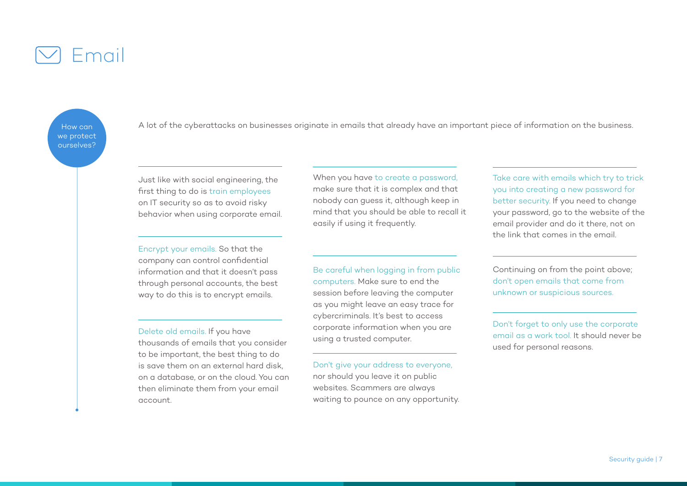

How can we protect ourselves?

A lot of the cyberattacks on businesses originate in emails that already have an important piece of information on the business.

Just like with social engineering, the first thing to do is train employees on IT security so as to avoid risky behavior when using corporate email.

Encrypt your emails. So that the company can control confidential information and that it doesn't pass through personal accounts, the best way to do this is to encrypt emails.

#### Delete old emails. If you have

thousands of emails that you consider to be important, the best thing to do is save them on an external hard disk, on a database, or on the cloud. You can then eliminate them from your email account.

When you have to create a password, make sure that it is complex and that nobody can guess it, although keep in mind that you should be able to recall it easily if using it frequently.

Be careful when logging in from public computers. Make sure to end the session before leaving the computer as you might leave an easy trace for cybercriminals. It's best to access corporate information when you are using a trusted computer.

Don't give your address to everyone, nor should you leave it on public websites. Scammers are always waiting to pounce on any opportunity. Take care with emails which try to trick you into creating a new password for better security. If you need to change your password, go to the website of the email provider and do it there, not on the link that comes in the email.

Continuing on from the point above; don't open emails that come from unknown or suspicious sources.

Don't forget to only use the corporate email as a work tool. It should never be used for personal reasons.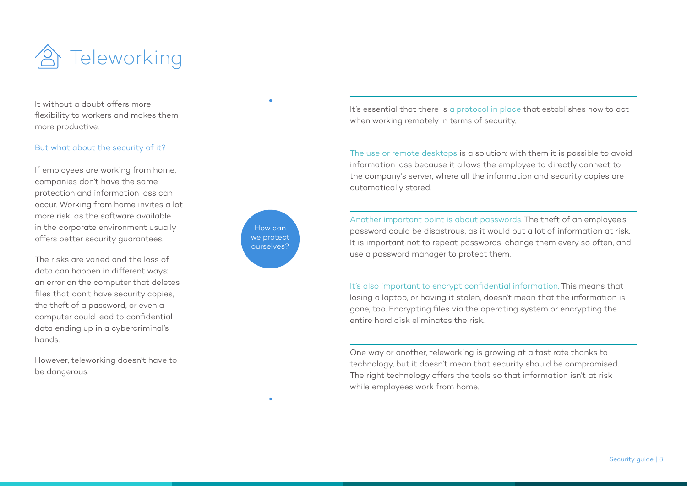

It without a doubt offers more flexibility to workers and makes them more productive.

#### But what about the security of it?

If employees are working from home, companies don't have the same protection and information loss can occur. Working from home invites a lot more risk, as the software available in the corporate environment usually offers better security guarantees.

The risks are varied and the loss of data can happen in different ways: an error on the computer that deletes files that don't have security copies, the theft of a password, or even a computer could lead to confidential data ending up in a cybercriminal's hands.

However, teleworking doesn't have to be dangerous.



The use or remote desktops is a solution: with them it is possible to avoid information loss because it allows the employee to directly connect to the company's server, where all the information and security copies are automatically stored.

Another important point is about passwords. The theft of an employee's password could be disastrous, as it would put a lot of information at risk. It is important not to repeat passwords, change them every so often, and use a password manager to protect them.

It's also important to encrypt confidential information. This means that losing a laptop, or having it stolen, doesn't mean that the information is gone, too. Encrypting files via the operating system or encrypting the entire hard disk eliminates the risk.

One way or another, teleworking is growing at a fast rate thanks to technology, but it doesn't mean that security should be compromised. The right technology offers the tools so that information isn't at risk while employees work from home.

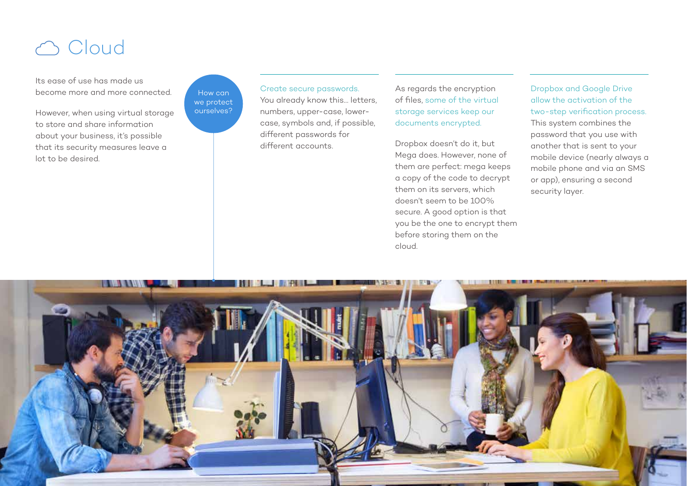# co Cloud

Its ease of use has made us become more and more connected.

However, when using virtual storage to store and share information about your business, it's possible that its security measures leave a lot to be desired.

How can we protect ourselves?

Create secure passwords. You already know this… letters, numbers, upper-case, lowercase, symbols and, if possible, different passwords for different accounts.

As regards the encryption of files, some of the virtual storage services keep our documents encrypted.

Dropbox doesn't do it, but Mega does. However, none of them are perfect: mega keeps a copy of the code to decrypt them on its servers, which doesn't seem to be 100% secure. A good option is that you be the one to encrypt them before storing them on the cloud.

Dropbox and Google Drive allow the activation of the two-step verification process. This system combines the password that you use with another that is sent to your mobile device (nearly always a mobile phone and via an SMS or app), ensuring a second security layer.

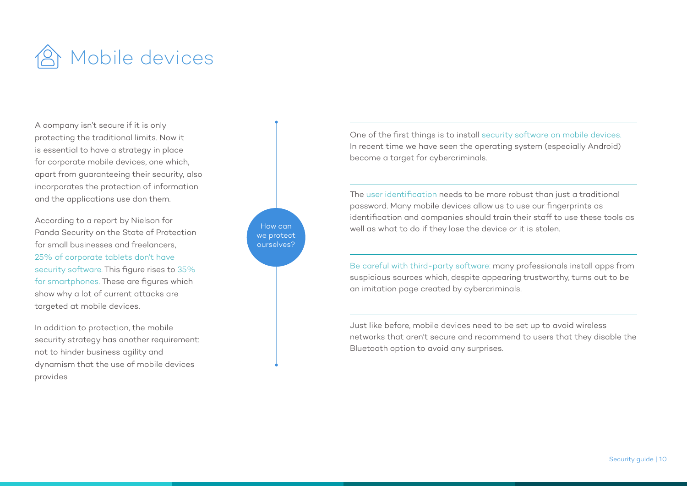

A company isn't secure if it is only protecting the traditional limits. Now it is essential to have a strategy in place for corporate mobile devices, one which, apart from guaranteeing their security, also incorporates the protection of information and the applications use don them.

According to a report by Nielson for Panda Security on the State of Protection for small businesses and freelancers. 25% of corporate tablets don't have security software. This figure rises to 35% for smartphones. These are figures which show why a lot of current attacks are targeted at mobile devices.

In addition to protection, the mobile security strategy has another requirement: not to hinder business agility and dynamism that the use of mobile devices provides



One of the first things is to install security software on mobile devices. In recent time we have seen the operating system (especially Android) become a target for cybercriminals.

The user identification needs to be more robust than just a traditional password. Many mobile devices allow us to use our fingerprints as identification and companies should train their staff to use these tools as well as what to do if they lose the device or it is stolen.

Be careful with third-party software: many professionals install apps from suspicious sources which, despite appearing trustworthy, turns out to be an imitation page created by cybercriminals.

Just like before, mobile devices need to be set up to avoid wireless networks that aren't secure and recommend to users that they disable the Bluetooth option to avoid any surprises.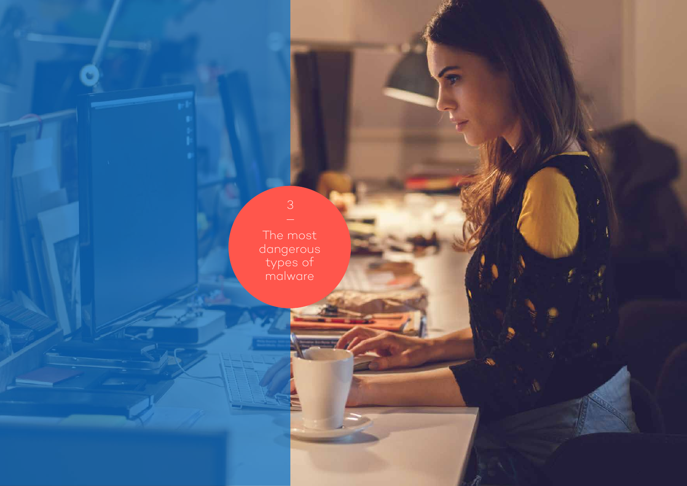The most dangerous types of malware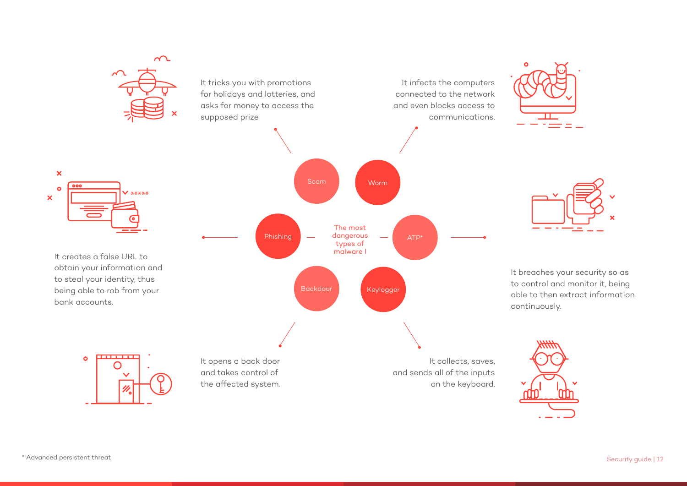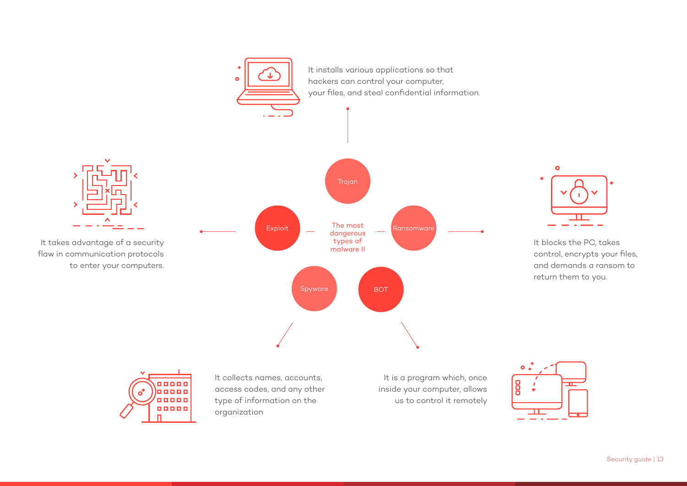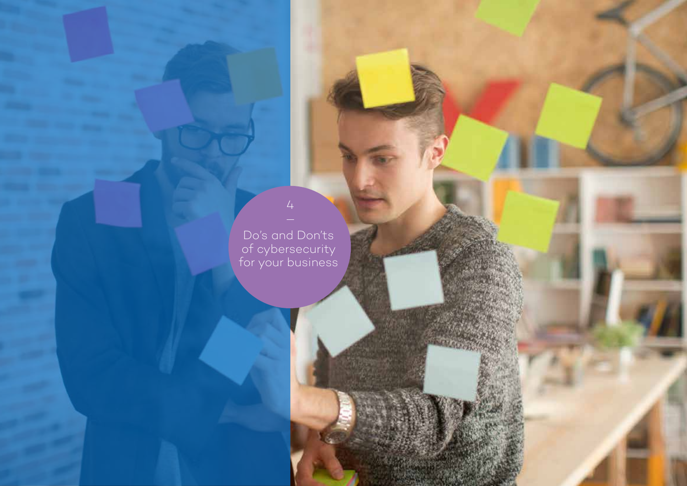Do's and Don'ts of cybersecurity for your business

 $\overline{4}$ 

Security guide | 14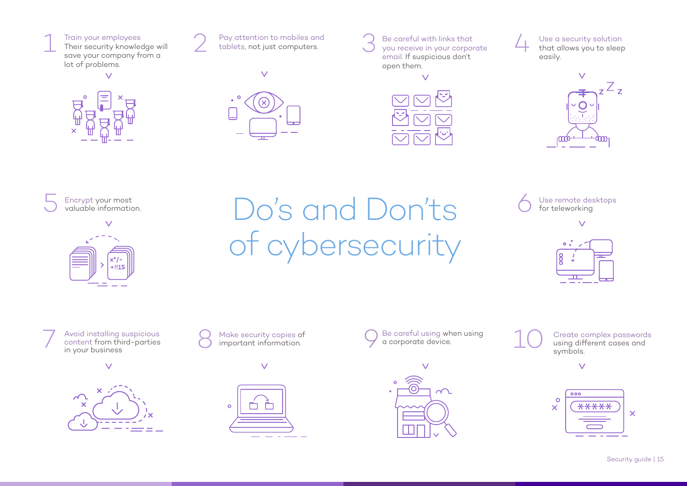





 $\vee$ 



Be careful with links that you receive in your corporate email. If suspicious don't open them. 3



Use a security solution that allows you to sleep easily. 4



5 Encrypt your most<br>valuable information.

1



 $V_{\text{inematical}}$  Do's and Don'ts of cybersecurity

Use remote desktops for teleworking 6





Avoid installing suspicious content from third-parties in your business T<br>
Avoid installing suspicious<br>
content from third-parties<br>
in your business<br>
S<br>
Make security copies of<br>
in your business





Make security copies of important information.



 $\vee$ 

Be careful using when using<br>a corporate device. S Make security copies of C Be careful using when using 10



Create complex passwords using different cases and symbols.

 $\vee$ 

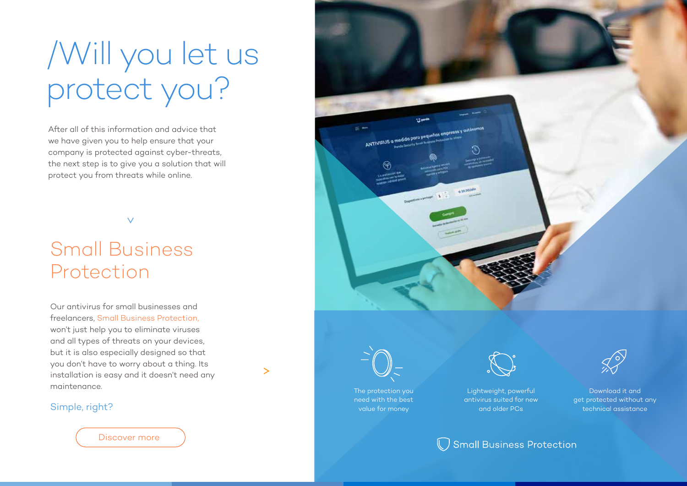# /Will you let us protect you?

After all of this information and advice that we have given you to help ensure that your company is protected against cyber-threats, the next step is to give you a solution that will protect you from threats while online.

 $\checkmark$ 

# Small Business Protection

Our antivirus for small businesses and freelancers, Small Business Protection, won't just help you to eliminate viruses and all types of threats on your devices, but it is also especially designed so that you don't have to worry about a thing. Its installation is easy and it doesn't need any maintenance.

#### Simple, right?

Discover more



 $\geq$ 

The protection you need with the best value for money



Lightweight, powerful antivirus suited for new and older PCs

Download it and get protected without any technical assistance

 $\bigcirc$  Small Business Protection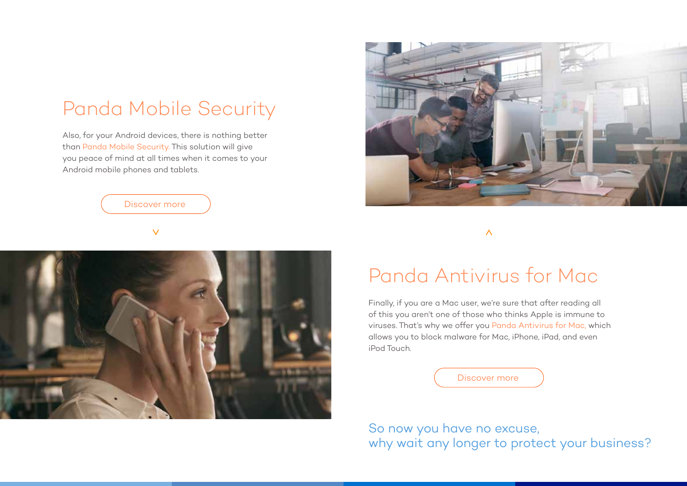# Panda Mobile Security

Also, for your Android devices, there is nothing better than Panda Mobile Security. This solution will give you peace of mind at all times when it comes to your Android mobile phones and tablets.



 $\vee$ 





#### $\bar{\wedge}$

## Panda Antivirus for Mac

Finally, if you are a Mac user, we're sure that after reading all of this you aren't one of those who thinks Apple is immune to viruses. That's why we offer you Panda Antivirus for Mac, which allows you to block malware for Mac, iPhone, iPad, and even iPod Touch.



So now you have no excuse, why wait any longer to protect your business?